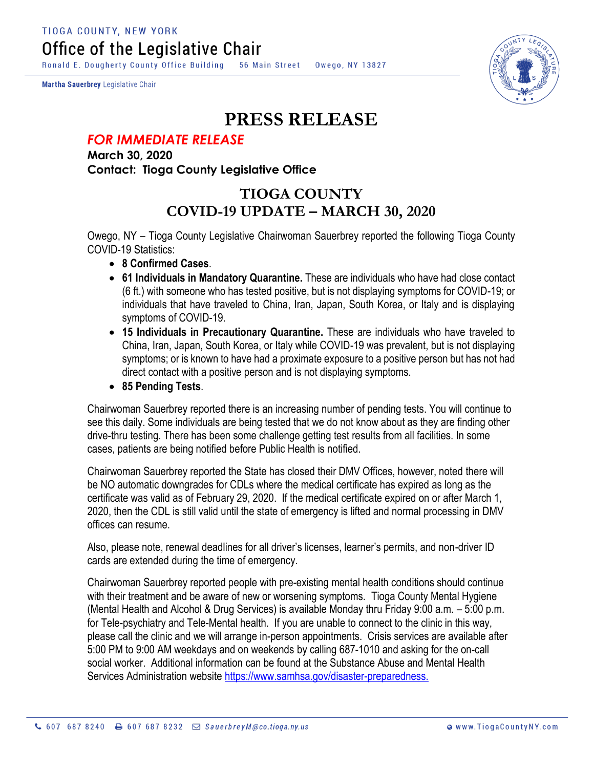Ronald E. Dougherty County Office Building 56 Main Street Owego, NY 13827

Martha Sauerbrey Legislative Chair



## **PRESS RELEASE**

## *FOR IMMEDIATE RELEASE*

**March 30, 2020 Contact: Tioga County Legislative Office**

## **TIOGA COUNTY COVID-19 UPDATE – MARCH 30, 2020**

Owego, NY – Tioga County Legislative Chairwoman Sauerbrey reported the following Tioga County COVID-19 Statistics:

- **8 Confirmed Cases**.
- **61 Individuals in Mandatory Quarantine.** These are individuals who have had close contact (6 ft.) with someone who has tested positive, but is not displaying symptoms for COVID-19; or individuals that have traveled to China, Iran, Japan, South Korea, or Italy and is displaying symptoms of COVID-19.
- **15 Individuals in Precautionary Quarantine.** These are individuals who have traveled to China, Iran, Japan, South Korea, or Italy while COVID-19 was prevalent, but is not displaying symptoms; or is known to have had a proximate exposure to a positive person but has not had direct contact with a positive person and is not displaying symptoms.
- **85 Pending Tests**.

Chairwoman Sauerbrey reported there is an increasing number of pending tests. You will continue to see this daily. Some individuals are being tested that we do not know about as they are finding other drive-thru testing. There has been some challenge getting test results from all facilities. In some cases, patients are being notified before Public Health is notified.

Chairwoman Sauerbrey reported the State has closed their DMV Offices, however, noted there will be NO automatic downgrades for CDLs where the medical certificate has expired as long as the certificate was valid as of February 29, 2020. If the medical certificate expired on or after March 1, 2020, then the CDL is still valid until the state of emergency is lifted and normal processing in DMV offices can resume.

Also, please note, renewal deadlines for all driver's licenses, learner's permits, and non-driver ID cards are extended during the time of emergency.

Chairwoman Sauerbrey reported people with pre-existing mental health conditions should continue with their treatment and be aware of new or worsening symptoms. Tioga County Mental Hygiene (Mental Health and Alcohol & Drug Services) is available Monday thru Friday 9:00 a.m. – 5:00 p.m. for Tele-psychiatry and Tele-Mental health. If you are unable to connect to the clinic in this way, please call the clinic and we will arrange in-person appointments. Crisis services are available after 5:00 PM to 9:00 AM weekdays and on weekends by calling 687-1010 and asking for the on-call social worker. Additional information can be found at the Substance Abuse and Mental Health Services Administration website [https://www.samhsa.gov/disaster-preparedness.](https://www.samhsa.gov/disaster-preparedness)